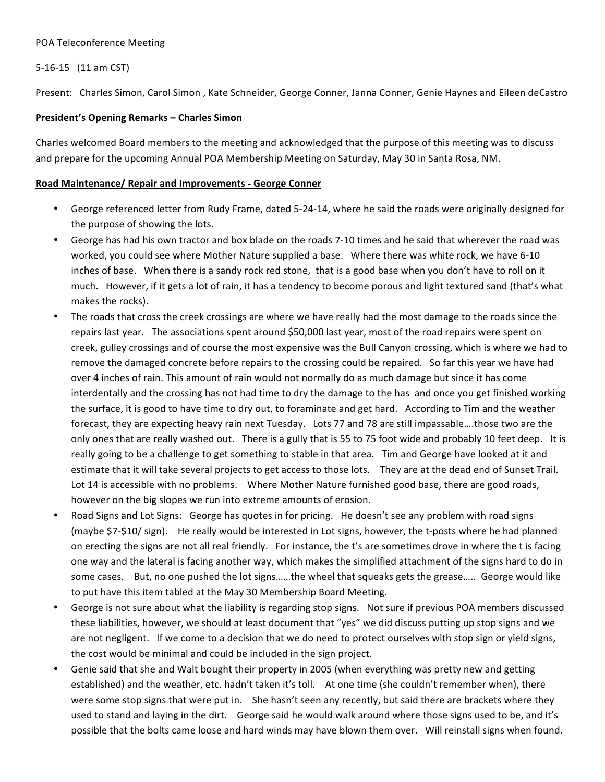#### POA Teleconference Meeting

## 5-16-15 (11 am CST)

Present: Charles Simon, Carol Simon, Kate Schneider, George Conner, Janna Conner, Genie Haynes and Eileen deCastro

### **President's Opening Remarks - Charles Simon**

Charles welcomed Board members to the meeting and acknowledged that the purpose of this meeting was to discuss and prepare for the upcoming Annual POA Membership Meeting on Saturday, May 30 in Santa Rosa, NM.

#### Road Maintenance/ Repair and Improvements - George Conner

- George referenced letter from Rudy Frame, dated 5-24-14, where he said the roads were originally designed for the purpose of showing the lots.
- George has had his own tractor and box blade on the roads 7-10 times and he said that wherever the road was worked, you could see where Mother Nature supplied a base. Where there was white rock, we have 6-10 inches of base. When there is a sandy rock red stone, that is a good base when you don't have to roll on it much. However, if it gets a lot of rain, it has a tendency to become porous and light textured sand (that's what makes the rocks).
- The roads that cross the creek crossings are where we have really had the most damage to the roads since the repairs last year. The associations spent around \$50,000 last year, most of the road repairs were spent on creek, gulley crossings and of course the most expensive was the Bull Canyon crossing, which is where we had to remove the damaged concrete before repairs to the crossing could be repaired. So far this year we have had over 4 inches of rain. This amount of rain would not normally do as much damage but since it has come interdentally and the crossing has not had time to dry the damage to the has and once you get finished working the surface, it is good to have time to dry out, to foraminate and get hard. According to Tim and the weather forecast, they are expecting heavy rain next Tuesday. Lots 77 and 78 are still impassable....those two are the only ones that are really washed out. There is a gully that is 55 to 75 foot wide and probably 10 feet deep. It is really going to be a challenge to get something to stable in that area. Tim and George have looked at it and estimate that it will take several projects to get access to those lots. They are at the dead end of Sunset Trail. Lot 14 is accessible with no problems. Where Mother Nature furnished good base, there are good roads, however on the big slopes we run into extreme amounts of erosion.
- Road Signs and Lot Signs: George has quotes in for pricing. He doesn't see any problem with road signs (maybe  $$7-\$10/$  sign). He really would be interested in Lot signs, however, the t-posts where he had planned on erecting the signs are not all real friendly. For instance, the t's are sometimes drove in where the t is facing one way and the lateral is facing another way, which makes the simplified attachment of the signs hard to do in some cases. But, no one pushed the lot signs......the wheel that squeaks gets the grease..... George would like to put have this item tabled at the May 30 Membership Board Meeting.
- George is not sure about what the liability is regarding stop signs. Not sure if previous POA members discussed these liabilities, however, we should at least document that "yes" we did discuss putting up stop signs and we are not negligent. If we come to a decision that we do need to protect ourselves with stop sign or yield signs, the cost would be minimal and could be included in the sign project.
- Genie said that she and Walt bought their property in 2005 (when everything was pretty new and getting established) and the weather, etc. hadn't taken it's toll. At one time (she couldn't remember when), there were some stop signs that were put in. She hasn't seen any recently, but said there are brackets where they used to stand and laying in the dirt. George said he would walk around where those signs used to be, and it's possible that the bolts came loose and hard winds may have blown them over. Will reinstall signs when found.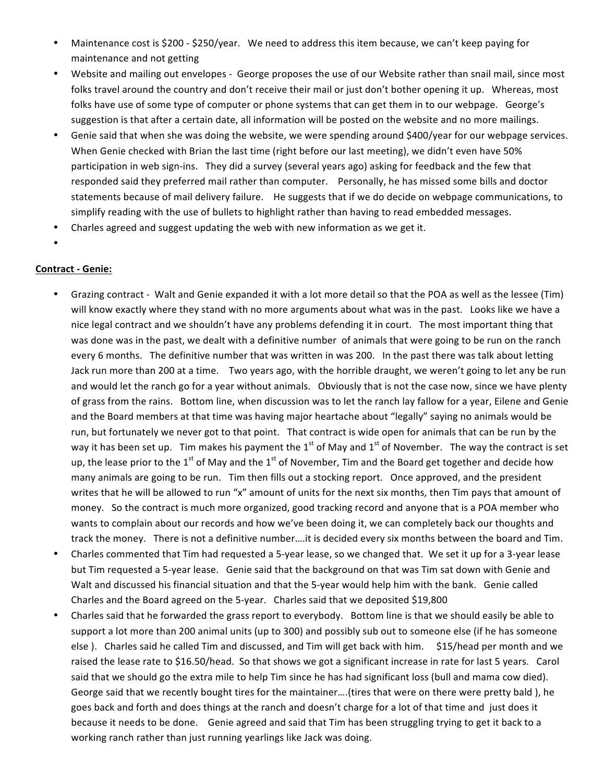- Maintenance cost is \$200 \$250/year. We need to address this item because, we can't keep paying for maintenance and not getting
- Website and mailing out envelopes George proposes the use of our Website rather than snail mail, since most folks travel around the country and don't receive their mail or just don't bother opening it up. Whereas, most folks have use of some type of computer or phone systems that can get them in to our webpage. George's suggestion is that after a certain date, all information will be posted on the website and no more mailings.
- Genie said that when she was doing the website, we were spending around \$400/year for our webpage services. When Genie checked with Brian the last time (right before our last meeting), we didn't even have 50% participation in web sign-ins. They did a survey (several years ago) asking for feedback and the few that responded said they preferred mail rather than computer. Personally, he has missed some bills and doctor statements because of mail delivery failure. He suggests that if we do decide on webpage communications, to simplify reading with the use of bullets to highlight rather than having to read embedded messages.
- Charles agreed and suggest updating the web with new information as we get it.
- •

### **Contract - Genie:**

- Grazing contract Walt and Genie expanded it with a lot more detail so that the POA as well as the lessee (Tim) will know exactly where they stand with no more arguments about what was in the past. Looks like we have a nice legal contract and we shouldn't have any problems defending it in court. The most important thing that was done was in the past, we dealt with a definitive number of animals that were going to be run on the ranch every 6 months. The definitive number that was written in was 200. In the past there was talk about letting Jack run more than 200 at a time. Two years ago, with the horrible draught, we weren't going to let any be run and would let the ranch go for a year without animals. Obviously that is not the case now, since we have plenty of grass from the rains. Bottom line, when discussion was to let the ranch lay fallow for a year, Eilene and Genie and the Board members at that time was having major heartache about "legally" saying no animals would be run, but fortunately we never got to that point. That contract is wide open for animals that can be run by the way it has been set up. Tim makes his payment the 1<sup>st</sup> of May and 1<sup>st</sup> of November. The way the contract is set up, the lease prior to the 1<sup>st</sup> of May and the 1<sup>st</sup> of November, Tim and the Board get together and decide how many animals are going to be run. Tim then fills out a stocking report. Once approved, and the president writes that he will be allowed to run "x" amount of units for the next six months, then Tim pays that amount of money. So the contract is much more organized, good tracking record and anyone that is a POA member who wants to complain about our records and how we've been doing it, we can completely back our thoughts and track the money. There is not a definitive number....it is decided every six months between the board and Tim.
- Charles commented that Tim had requested a 5-year lease, so we changed that. We set it up for a 3-year lease but Tim requested a 5-year lease. Genie said that the background on that was Tim sat down with Genie and Walt and discussed his financial situation and that the 5-year would help him with the bank. Genie called Charles and the Board agreed on the 5-year. Charles said that we deposited \$19,800
- Charles said that he forwarded the grass report to everybody. Bottom line is that we should easily be able to support a lot more than 200 animal units (up to 300) and possibly sub out to someone else (if he has someone else ). Charles said he called Tim and discussed, and Tim will get back with him. \$15/head per month and we raised the lease rate to \$16.50/head. So that shows we got a significant increase in rate for last 5 years. Carol said that we should go the extra mile to help Tim since he has had significant loss (bull and mama cow died). George said that we recently bought tires for the maintainer....(tires that were on there were pretty bald), he goes back and forth and does things at the ranch and doesn't charge for a lot of that time and just does it because it needs to be done. Genie agreed and said that Tim has been struggling trying to get it back to a working ranch rather than just running yearlings like Jack was doing.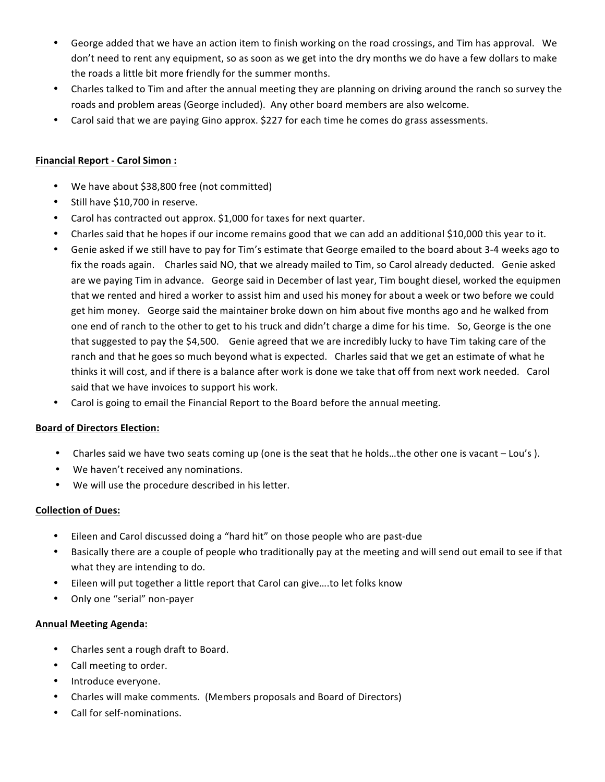- George added that we have an action item to finish working on the road crossings, and Tim has approval. We don't need to rent any equipment, so as soon as we get into the dry months we do have a few dollars to make the roads a little bit more friendly for the summer months.
- Charles talked to Tim and after the annual meeting they are planning on driving around the ranch so survey the roads and problem areas (George included). Any other board members are also welcome.
- Carol said that we are paying Gino approx. \$227 for each time he comes do grass assessments.

## **Financial Report - Carol Simon :**

- We have about \$38,800 free (not committed)
- Still have \$10,700 in reserve.
- Carol has contracted out approx. \$1,000 for taxes for next quarter.
- Charles said that he hopes if our income remains good that we can add an additional \$10,000 this year to it.
- Genie asked if we still have to pay for Tim's estimate that George emailed to the board about 3-4 weeks ago to fix the roads again. Charles said NO, that we already mailed to Tim, so Carol already deducted. Genie asked are we paying Tim in advance. George said in December of last year, Tim bought diesel, worked the equipmen that we rented and hired a worker to assist him and used his money for about a week or two before we could get him money. George said the maintainer broke down on him about five months ago and he walked from one end of ranch to the other to get to his truck and didn't charge a dime for his time. So, George is the one that suggested to pay the \$4,500. Genie agreed that we are incredibly lucky to have Tim taking care of the ranch and that he goes so much beyond what is expected. Charles said that we get an estimate of what he thinks it will cost, and if there is a balance after work is done we take that off from next work needed. Carol said that we have invoices to support his work.
- Carol is going to email the Financial Report to the Board before the annual meeting.

### **Board of Directors Election:**

- Charles said we have two seats coming up (one is the seat that he holds...the other one is vacant Lou's ).
- We haven't received any nominations.
- We will use the procedure described in his letter.

### **Collection of Dues:**

- Eileen and Carol discussed doing a "hard hit" on those people who are past-due
- Basically there are a couple of people who traditionally pay at the meeting and will send out email to see if that what they are intending to do.
- Eileen will put together a little report that Carol can give....to let folks know
- Only one "serial" non-payer

### **Annual Meeting Agenda:**

- Charles sent a rough draft to Board.
- Call meeting to order.
- Introduce everyone.
- Charles will make comments. (Members proposals and Board of Directors)
- Call for self-nominations.